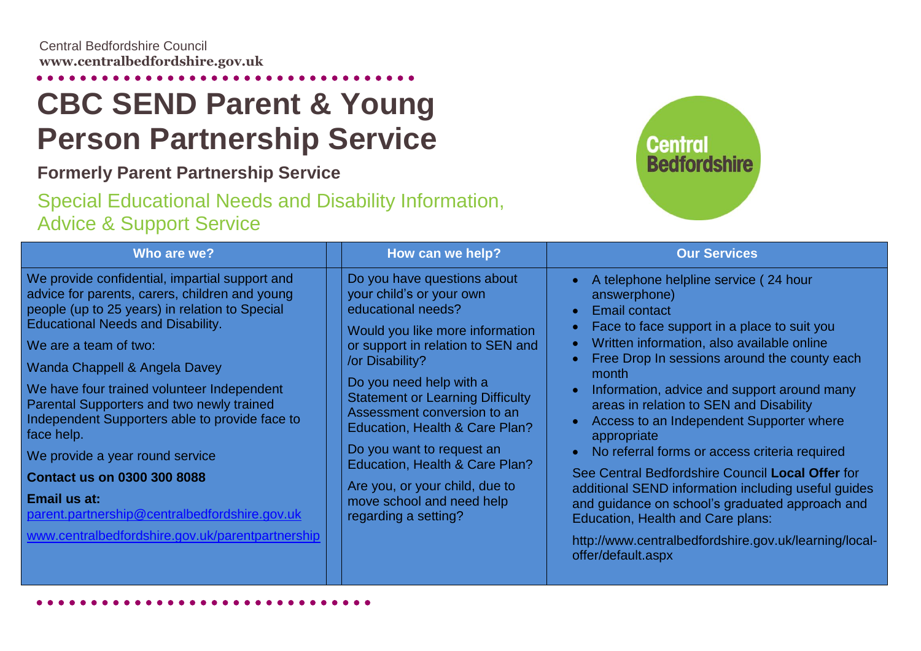## **CBC SEND Parent & Young Person Partnership Service**

## **Formerly Parent Partnership Service**

## Special Educational Needs and Disability Information, Advice & Support Service



| Who are we?                                                                                                                                                                                                                                                                                                                                                                                                                                                                                                                                                                                                       |                 | How can we help?                                                                                                                                                                                                                                                                                                                                                                                                                                   | <b>Our Services</b>                                                                                                                                                                                                                                                                                                                                                                                                                                                                                                                                                                                                                                                                                                                                                       |
|-------------------------------------------------------------------------------------------------------------------------------------------------------------------------------------------------------------------------------------------------------------------------------------------------------------------------------------------------------------------------------------------------------------------------------------------------------------------------------------------------------------------------------------------------------------------------------------------------------------------|-----------------|----------------------------------------------------------------------------------------------------------------------------------------------------------------------------------------------------------------------------------------------------------------------------------------------------------------------------------------------------------------------------------------------------------------------------------------------------|---------------------------------------------------------------------------------------------------------------------------------------------------------------------------------------------------------------------------------------------------------------------------------------------------------------------------------------------------------------------------------------------------------------------------------------------------------------------------------------------------------------------------------------------------------------------------------------------------------------------------------------------------------------------------------------------------------------------------------------------------------------------------|
| We provide confidential, impartial support and<br>advice for parents, carers, children and young<br>people (up to 25 years) in relation to Special<br><b>Educational Needs and Disability.</b><br>We are a team of two:<br>Wanda Chappell & Angela Davey<br>We have four trained volunteer Independent<br>Parental Supporters and two newly trained<br>Independent Supporters able to provide face to<br>face help.<br>We provide a year round service<br><b>Contact us on 0300 300 8088</b><br>Email us at:<br>parent.partnership@centralbedfordshire.gov.uk<br>www.centralbedfordshire.gov.uk/parentpartnership | /or Disability? | Do you have questions about<br>your child's or your own<br>educational needs?<br>Would you like more information<br>or support in relation to SEN and<br>Do you need help with a<br><b>Statement or Learning Difficulty</b><br>Assessment conversion to an<br>Education, Health & Care Plan?<br>Do you want to request an<br>Education, Health & Care Plan?<br>Are you, or your child, due to<br>move school and need help<br>regarding a setting? | A telephone helpline service (24 hour<br>answerphone)<br><b>Email contact</b><br>$\bullet$<br>Face to face support in a place to suit you<br>Written information, also available online<br>$\bullet$<br>Free Drop In sessions around the county each<br>month<br>Information, advice and support around many<br>areas in relation to SEN and Disability<br>Access to an Independent Supporter where<br>appropriate<br>No referral forms or access criteria required<br>$\bullet$<br>See Central Bedfordshire Council Local Offer for<br>additional SEND information including useful guides<br>and guidance on school's graduated approach and<br><b>Education, Health and Care plans:</b><br>http://www.centralbedfordshire.gov.uk/learning/local-<br>offer/default.aspx |